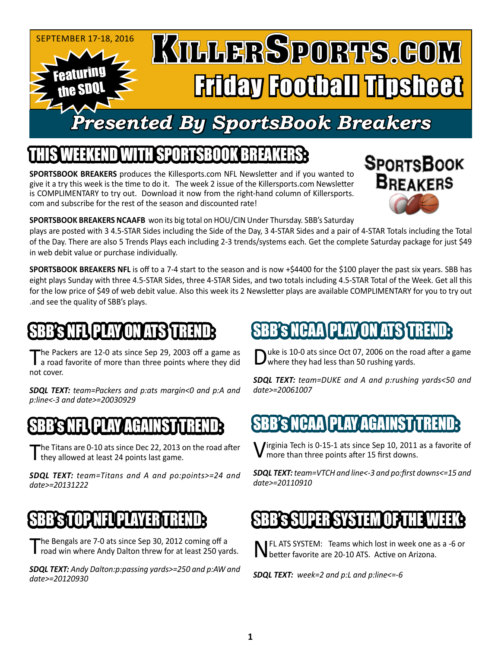

### IEEKEND WITH SPORTSBOOK BREA

**SPORTSBOOK BREAKERS** produces the Killesports.com NFL Newsletter and if you wanted to give it a try this week is the time to do it. The week 2 issue of the Killersports.com Newsletter is COMPLIMENTARY to try out. Download it now from the right-hand column of Killersports. com and subscribe for the rest of the season and discounted rate!



**SPORTSBOOK BREAKERS NCAAFB** won its big total on HOU/CIN Under Thursday. SBB's Saturday

plays are posted with 3 4.5-STAR Sides including the Side of the Day, 3 4-STAR Sides and a pair of 4-STAR Totals including the Total of the Day. There are also 5 Trends Plays each including 2-3 trends/systems each. Get the complete Saturday package for just \$49 in web debit value or purchase individually.

**SPORTSBOOK BREAKERS NFL** is off to a 7-4 start to the season and is now +\$4400 for the \$100 player the past six years. SBB has eight plays Sunday with three 4.5-STAR Sides, three 4-STAR Sides, and two totals including 4.5-STAR Total of the Week. Get all this for the low price of \$49 of web debit value. Also this week its 2 Newsletter plays are available COMPLIMENTARY for you to try out .and see the quality of SBB's plays.

## 'S NFL PLAY ON ATS Y

The Packers are 12-0 ats since Sep 29, 2003 off a game as a road favorite of more than three points where they did not cover.

*SDQL TEXT: team=Packers and p:ats margin<0 and p:A and p:line<-3 and date>=20030929*

#### SBBSNEL PLAY AGAINST TREND

The Titans are 0-10 ats since Dec 22, 2013 on the road after I they allowed at least 24 points last game.

*SDQL TEXT: team=Titans and A and po:points>=24 and date>=20131222*

### NP NFI PLA

The Bengals are 7-0 ats since Sep 30, 2012 coming off a road win where Andy Dalton threw for at least 250 yards.

*SDQL TEXT: Andy Dalton:p:passing yards>=250 and p:AW and date>=20120930*

# SBB's NCAA\PLAY\ON ATS\T

uke is 10-0 ats since Oct 07, 2006 on the road after a game where they had less than 50 rushing yards.

*SDQL TEXT: team=DUKE and A and p:rushing yards<50 and date>=20061007*

## SBB's NCAA PLAY AGAINST TREND:

Virginia Tech is 0-15-1 ats since Sep 10, 2011 as a favorite of more than three points after 15 first downs.

*SDQL TEXT: team=VTCH and line<-3 and po:first downs<=15 and date>=20110910*

### SBB's SUPER SYSTEM OF THE WEEK:

IFL ATS SYSTEM: Teams which lost in week one as a -6 or **J** better favorite are 20-10 ATS. Active on Arizona.

*SDQL TEXT: week=2 and p:L and p:line<=-6*